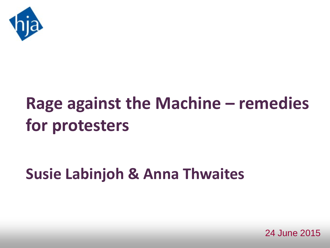

# **Rage against the Machine – remedies for protesters**

# **Susie Labinjoh & Anna Thwaites**

24 June 2015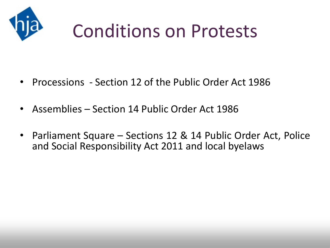

# Conditions on Protests

- Processions Section 12 of the Public Order Act 1986
- Assemblies Section 14 Public Order Act 1986
- Parliament Square Sections 12 & 14 Public Order Act, Police and Social Responsibility Act 2011 and local byelaws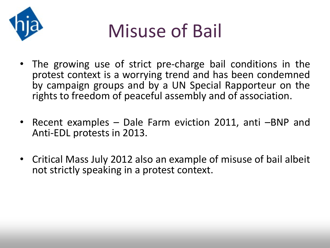

# Misuse of Bail

- The growing use of strict pre-charge bail conditions in the protest context is a worrying trend and has been condemned by campaign groups and by a UN Special Rapporteur on the rights to freedom of peaceful assembly and of association.
- Recent examples Dale Farm eviction 2011, anti –BNP and Anti-EDL protests in 2013.
- Critical Mass July 2012 also an example of misuse of bail albeit not strictly speaking in a protest context.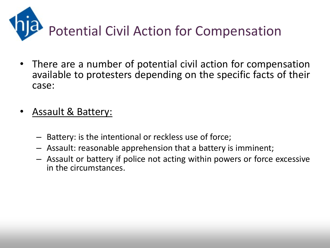

- There are a number of potential civil action for compensation available to protesters depending on the specific facts of their case:
- Assault & Battery:
	- Battery: is the intentional or reckless use of force;
	- Assault: reasonable apprehension that a battery is imminent;
	- Assault or battery if police not acting within powers or force excessive in the circumstances.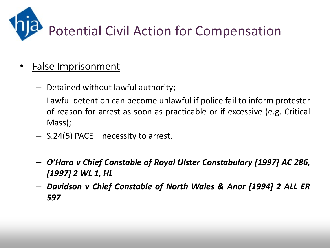

#### • False Imprisonment

- Detained without lawful authority;
- Lawful detention can become unlawful if police fail to inform protester of reason for arrest as soon as practicable or if excessive (e.g. Critical Mass);
- S.24(5) PACE necessity to arrest.
- *O'Hara v Chief Constable of Royal Ulster Constabulary [1997] AC 286, [1997] 2 WL 1, HL*
- *Davidson v Chief Constable of North Wales & Anor [1994] 2 ALL ER 597*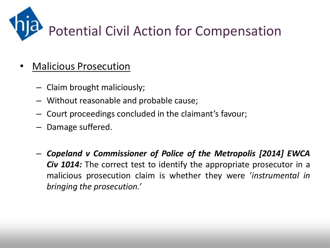

#### • Malicious Prosecution

- Claim brought maliciously;
- Without reasonable and probable cause;
- Court proceedings concluded in the claimant's favour;
- Damage suffered.
- *Copeland v Commissioner of Police of the Metropolis [2014] EWCA Civ 1014:* The correct test to identify the appropriate prosecutor in a malicious prosecution claim is whether they were '*instrumental in bringing the prosecution.'*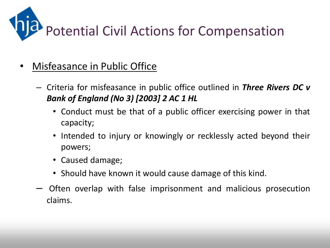

- Misfeasance in Public Office
	- Criteria for misfeasance in public office outlined in *Three Rivers DC v Bank of England (No 3) [2003] 2 AC 1 HL*
		- Conduct must be that of a public officer exercising power in that capacity;
		- Intended to injury or knowingly or recklessly acted beyond their powers;
		- Caused damage;
		- Should have known it would cause damage of this kind.
	- Often overlap with false imprisonment and malicious prosecution claims.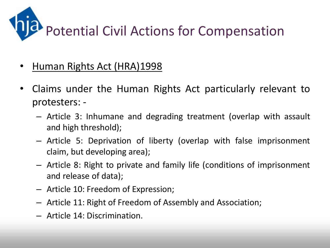

- Human Rights Act (HRA)1998
- Claims under the Human Rights Act particularly relevant to protesters: -
	- Article 3: Inhumane and degrading treatment (overlap with assault and high threshold);
	- Article 5: Deprivation of liberty (overlap with false imprisonment claim, but developing area);
	- Article 8: Right to private and family life (conditions of imprisonment and release of data);
	- Article 10: Freedom of Expression;
	- Article 11: Right of Freedom of Assembly and Association;
	- Article 14: Discrimination.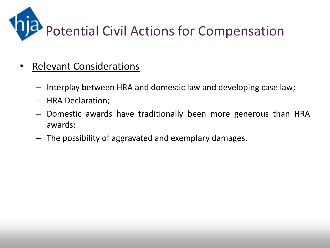

- Relevant Considerations
	- Interplay between HRA and domestic law and developing case law;
	- HRA Declaration;
	- Domestic awards have traditionally been more generous than HRA awards;
	- The possibility of aggravated and exemplary damages.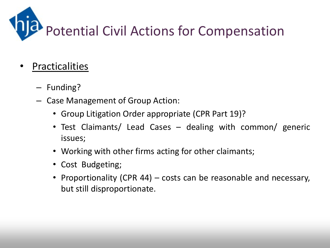

- **Practicalities** 
	- Funding?
	- Case Management of Group Action:
		- Group Litigation Order appropriate (CPR Part 19)?
		- Test Claimants/ Lead Cases dealing with common/ generic issues;
		- Working with other firms acting for other claimants;
		- Cost Budgeting;
		- Proportionality (CPR 44) costs can be reasonable and necessary, but still disproportionate.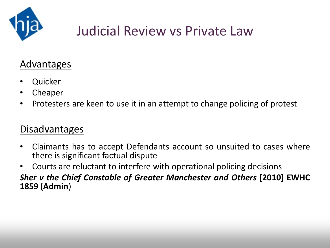

# Judicial Review vs Private Law

#### Advantages

- Quicker
- Cheaper
- Protesters are keen to use it in an attempt to change policing of protest

#### Disadvantages

- Claimants has to accept Defendants account so unsuited to cases where there is significant factual dispute
- Courts are reluctant to interfere with operational policing decisions

#### *Sher v the Chief Constable of Greater Manchester and Others* **[2010] EWHC 1859 (Admin**)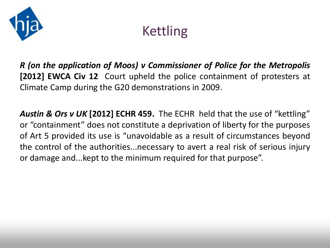

## Kettling

*R (on the application of Moos) v Commissioner of Police for the Metropolis* **[2012] EWCA Civ 12** Court upheld the police containment of protesters at Climate Camp during the G20 demonstrations in 2009.

*Austin & Ors v UK* **[2012] ECHR 459.** The ECHR held that the use of "kettling" or "containment" does not constitute a deprivation of liberty for the purposes of Art 5 provided its use is "unavoidable as a result of circumstances beyond the control of the authorities...necessary to avert a real risk of serious injury or damage and...kept to the minimum required for that purpose".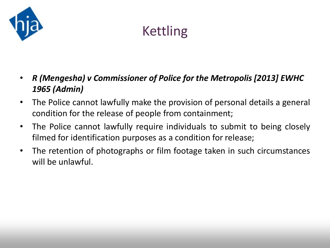

# Kettling

- *R (Mengesha) v Commissioner of Police for the Metropolis [2013] EWHC 1965 (Admin)*
- The Police cannot lawfully make the provision of personal details a general condition for the release of people from containment;
- The Police cannot lawfully require individuals to submit to being closely filmed for identification purposes as a condition for release;
- The retention of photographs or film footage taken in such circumstances will be unlawful.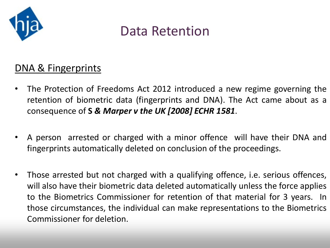

#### DNA & Fingerprints

- The Protection of Freedoms Act 2012 introduced a new regime governing the retention of biometric data (fingerprints and DNA). The Act came about as a consequence of **S** *& Marper v the UK [2008] ECHR 1581*.
- A person arrested or charged with a minor offence will have their DNA and fingerprints automatically deleted on conclusion of the proceedings.
- Those arrested but not charged with a qualifying offence, i.e. serious offences, will also have their biometric data deleted automatically unless the force applies to the Biometrics Commissioner for retention of that material for 3 years. In those circumstances, the individual can make representations to the Biometrics Commissioner for deletion.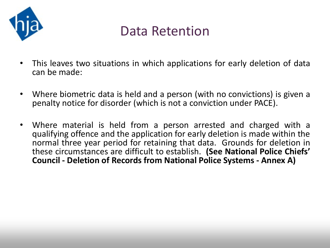

- This leaves two situations in which applications for early deletion of data can be made:
- Where biometric data is held and a person (with no convictions) is given a penalty notice for disorder (which is not a conviction under PACE).
- Where material is held from a person arrested and charged with a qualifying offence and the application for early deletion is made within the normal three year period for retaining that data. Grounds for deletion in these circumstances are difficult to establish. **(See National Police Chiefs' Council - Deletion of Records from National Police Systems - Annex A)**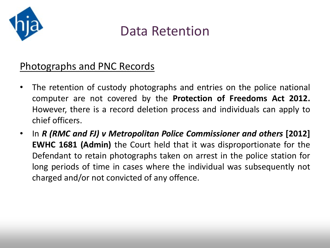

#### Photographs and PNC Records

- The retention of custody photographs and entries on the police national computer are not covered by the **Protection of Freedoms Act 2012.** However, there is a record deletion process and individuals can apply to chief officers.
- In *R (RMC and FJ) v Metropolitan Police Commissioner and others* **[2012] EWHC 1681 (Admin)** the Court held that it was disproportionate for the Defendant to retain photographs taken on arrest in the police station for long periods of time in cases where the individual was subsequently not charged and/or not convicted of any offence.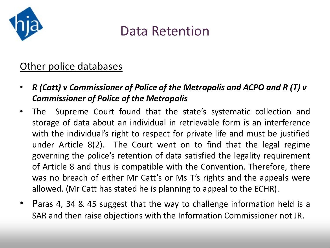

#### Other police databases

- *R (Catt) v Commissioner of Police of the Metropolis and ACPO and R (T) v Commissioner of Police of the Metropolis*
- The Supreme Court found that the state's systematic collection and storage of data about an individual in retrievable form is an interference with the individual's right to respect for private life and must be justified under Article 8(2). The Court went on to find that the legal regime governing the police's retention of data satisfied the legality requirement of Article 8 and thus is compatible with the Convention. Therefore, there was no breach of either Mr Catt's or Ms T's rights and the appeals were allowed. (Mr Catt has stated he is planning to appeal to the ECHR).
- Paras 4, 34 & 45 suggest that the way to challenge information held is a SAR and then raise objections with the Information Commissioner not JR.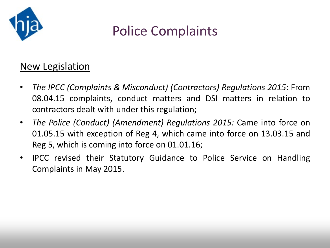

### Police Complaints

#### New Legislation

- *The IPCC (Complaints & Misconduct) (Contractors) Regulations 2015*: From 08.04.15 complaints, conduct matters and DSI matters in relation to contractors dealt with under this regulation;
- *The Police (Conduct) (Amendment) Regulations 2015:* Came into force on 01.05.15 with exception of Reg 4, which came into force on 13.03.15 and Reg 5, which is coming into force on 01.01.16;
- IPCC revised their Statutory Guidance to Police Service on Handling Complaints in May 2015.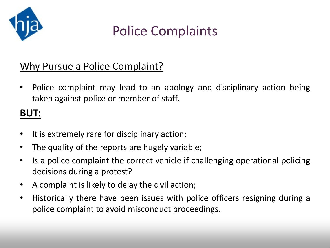

## Police Complaints

#### Why Pursue a Police Complaint?

• Police complaint may lead to an apology and disciplinary action being taken against police or member of staff.

#### **BUT:**

- It is extremely rare for disciplinary action;
- The quality of the reports are hugely variable;
- Is a police complaint the correct vehicle if challenging operational policing decisions during a protest?
- A complaint is likely to delay the civil action;
- Historically there have been issues with police officers resigning during a police complaint to avoid misconduct proceedings.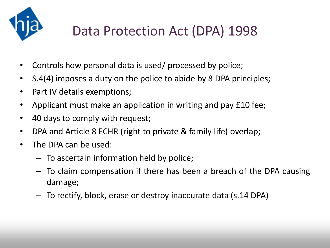

# Data Protection Act (DPA) 1998

- Controls how personal data is used/ processed by police;
- S.4(4) imposes a duty on the police to abide by 8 DPA principles;
- Part IV details exemptions;
- Applicant must make an application in writing and pay £10 fee;
- 40 days to comply with request;
- DPA and Article 8 ECHR (right to private & family life) overlap;
- The DPA can be used:
	- To ascertain information held by police;
	- To claim compensation if there has been a breach of the DPA causing damage;
	- To rectify, block, erase or destroy inaccurate data (s.14 DPA)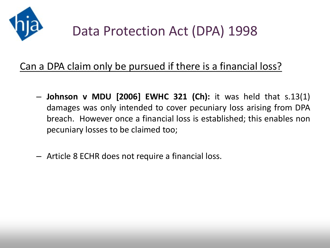

#### Can a DPA claim only be pursued if there is a financial loss?

- **Johnson v MDU [2006] EWHC 321 (Ch):** it was held that s.13(1) damages was only intended to cover pecuniary loss arising from DPA breach. However once a financial loss is established; this enables non pecuniary losses to be claimed too;
- Article 8 ECHR does not require a financial loss.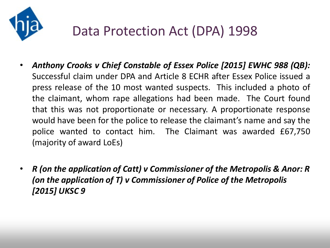

## Data Protection Act (DPA) 1998

- *Anthony Crooks v Chief Constable of Essex Police [2015] EWHC 988 (QB):* Successful claim under DPA and Article 8 ECHR after Essex Police issued a press release of the 10 most wanted suspects. This included a photo of the claimant, whom rape allegations had been made. The Court found that this was not proportionate or necessary. A proportionate response would have been for the police to release the claimant's name and say the police wanted to contact him. The Claimant was awarded £67,750 (majority of award LoEs)
- *R (on the application of Catt) v Commissioner of the Metropolis & Anor: R (on the application of T) v Commissioner of Police of the Metropolis [2015] UKSC 9*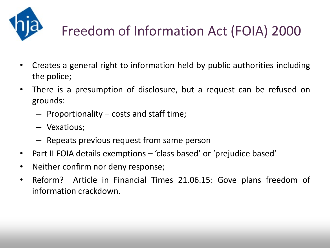

# Freedom of Information Act (FOIA) 2000

- Creates a general right to information held by public authorities including the police;
- There is a presumption of disclosure, but a request can be refused on grounds:
	- Proportionality costs and staff time;
	- Vexatious;
	- Repeats previous request from same person
- Part II FOIA details exemptions 'class based' or 'prejudice based'
- Neither confirm nor deny response;
- Reform? Article in Financial Times 21.06.15: Gove plans freedom of information crackdown.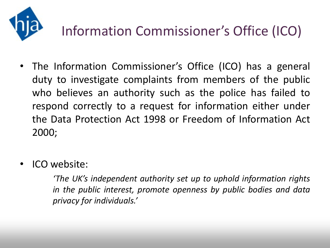

# Information Commissioner's Office (ICO)

- The Information Commissioner's Office (ICO) has a general duty to investigate complaints from members of the public who believes an authority such as the police has failed to respond correctly to a request for information either under the Data Protection Act 1998 or Freedom of Information Act 2000;
- ICO website:

*'The UK's independent authority set up to uphold information rights in the public interest, promote openness by public bodies and data privacy for individuals.'*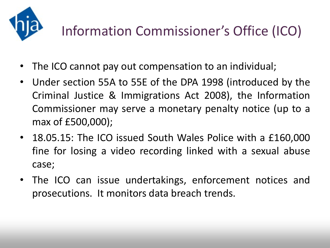

# Information Commissioner's Office (ICO)

- The ICO cannot pay out compensation to an individual;
- Under section 55A to 55E of the DPA 1998 (introduced by the Criminal Justice & Immigrations Act 2008), the Information Commissioner may serve a monetary penalty notice (up to a max of £500,000);
- 18.05.15: The ICO issued South Wales Police with a £160,000 fine for losing a video recording linked with a sexual abuse case;
- The ICO can issue undertakings, enforcement notices and prosecutions. It monitors data breach trends.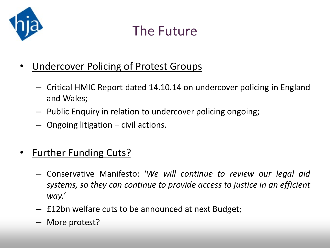

### The Future

- **Undercover Policing of Protest Groups** 
	- Critical HMIC Report dated 14.10.14 on undercover policing in England and Wales;
	- Public Enquiry in relation to undercover policing ongoing;
	- Ongoing litigation civil actions.
- Further Funding Cuts?
	- Conservative Manifesto: '*We will continue to review our legal aid systems, so they can continue to provide access to justice in an efficient way.'*
	- £12bn welfare cuts to be announced at next Budget;
	- More protest?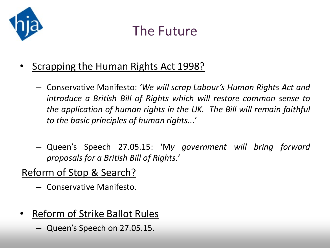

### The Future

- Scrapping the Human Rights Act 1998?
	- Conservative Manifesto: *'We will scrap Labour's Human Rights Act and introduce a British Bill of Rights which will restore common sense to the application of human rights in the UK. The Bill will remain faithful to the basic principles of human rights...'*
	- Queen's Speech 27.05.15: 'M*y government will bring forward proposals for a British Bill of Rights.'*

#### Reform of Stop & Search?

- Conservative Manifesto.
- Reform of Strike Ballot Rules
	- Queen's Speech on 27.05.15.